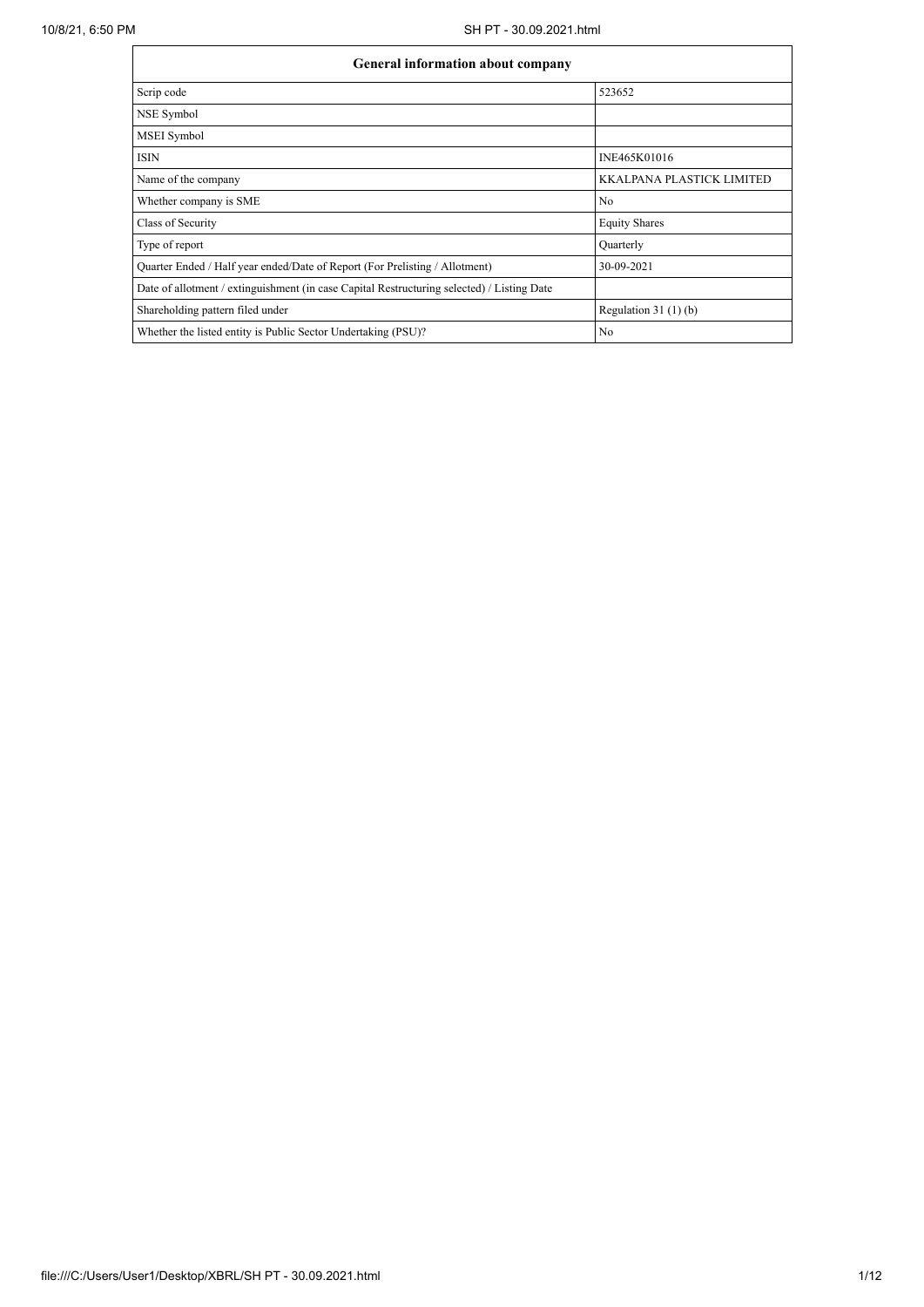$\mathbf{r}$ 

| General information about company                                                          |                                  |
|--------------------------------------------------------------------------------------------|----------------------------------|
| Scrip code                                                                                 | 523652                           |
| NSE Symbol                                                                                 |                                  |
| MSEI Symbol                                                                                |                                  |
| <b>ISIN</b>                                                                                | INE465K01016                     |
| Name of the company                                                                        | <b>KKALPANA PLASTICK LIMITED</b> |
| Whether company is SME                                                                     | No                               |
| Class of Security                                                                          | <b>Equity Shares</b>             |
| Type of report                                                                             | Quarterly                        |
| Quarter Ended / Half year ended/Date of Report (For Prelisting / Allotment)                | 30-09-2021                       |
| Date of allotment / extinguishment (in case Capital Restructuring selected) / Listing Date |                                  |
| Shareholding pattern filed under                                                           | Regulation $31(1)(b)$            |
| Whether the listed entity is Public Sector Undertaking (PSU)?                              | No                               |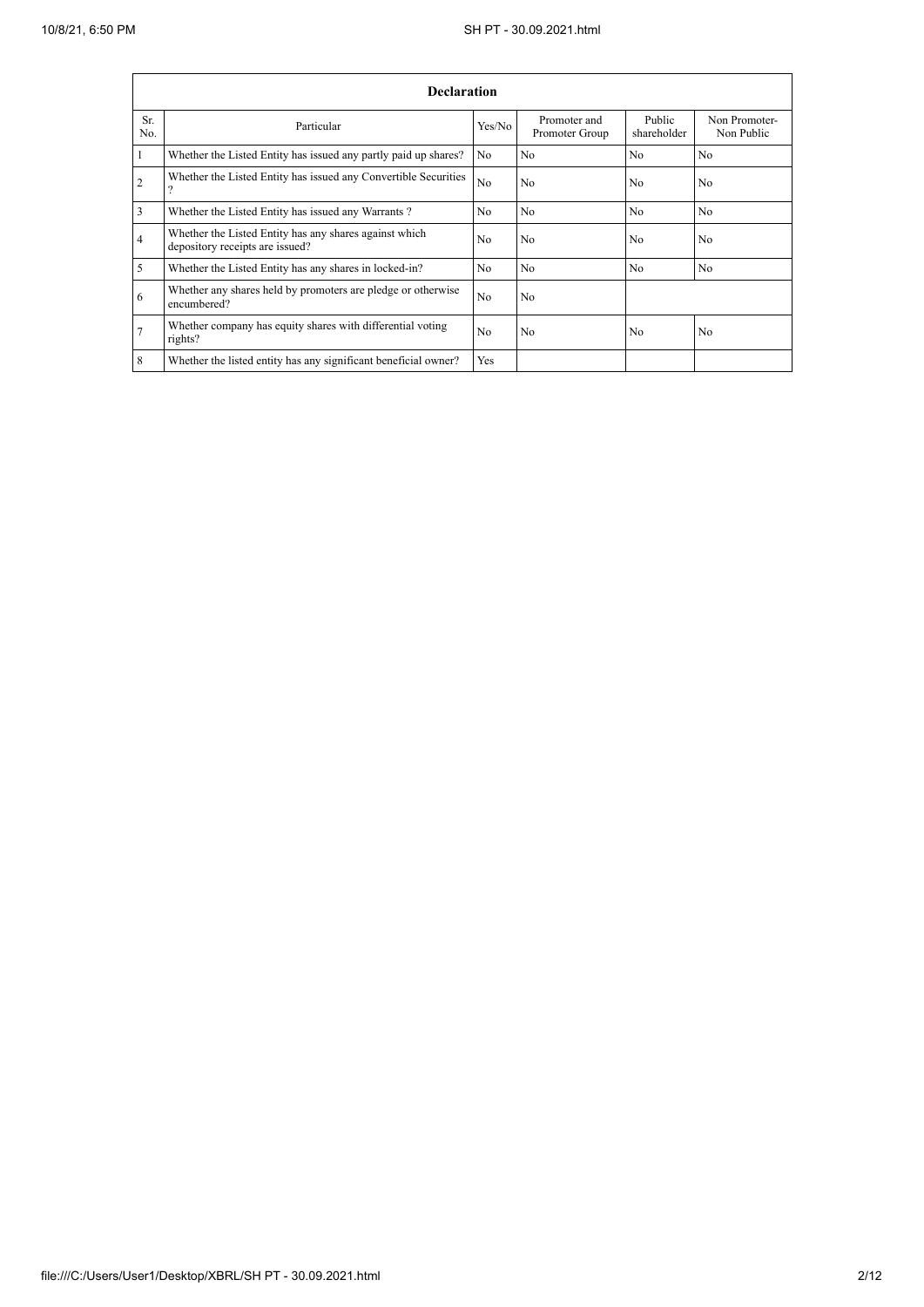|                | <b>Declaration</b>                                                                        |                |                                |                       |                             |  |  |  |  |  |  |  |  |
|----------------|-------------------------------------------------------------------------------------------|----------------|--------------------------------|-----------------------|-----------------------------|--|--|--|--|--|--|--|--|
| Sr.<br>No.     | Particular                                                                                | Yes/No         | Promoter and<br>Promoter Group | Public<br>shareholder | Non Promoter-<br>Non Public |  |  |  |  |  |  |  |  |
|                | Whether the Listed Entity has issued any partly paid up shares?                           | No             | N <sub>0</sub>                 | N <sub>0</sub>        | N <sub>0</sub>              |  |  |  |  |  |  |  |  |
| $\overline{2}$ | Whether the Listed Entity has issued any Convertible Securities                           | N <sub>0</sub> | No                             | N <sub>0</sub>        | N <sub>0</sub>              |  |  |  |  |  |  |  |  |
| 3              | Whether the Listed Entity has issued any Warrants?                                        | N <sub>0</sub> | N <sub>0</sub>                 | N <sub>o</sub>        | N <sub>0</sub>              |  |  |  |  |  |  |  |  |
| 4              | Whether the Listed Entity has any shares against which<br>depository receipts are issued? | N <sub>0</sub> | N <sub>0</sub>                 | N <sub>0</sub>        | N <sub>0</sub>              |  |  |  |  |  |  |  |  |
| 5              | Whether the Listed Entity has any shares in locked-in?                                    | N <sub>0</sub> | N <sub>0</sub>                 | N <sub>0</sub>        | N <sub>0</sub>              |  |  |  |  |  |  |  |  |
| 6              | Whether any shares held by promoters are pledge or otherwise<br>encumbered?               | No             | No                             |                       |                             |  |  |  |  |  |  |  |  |
|                | Whether company has equity shares with differential voting<br>rights?                     | N <sub>0</sub> | N <sub>0</sub>                 | N <sub>0</sub>        | N <sub>0</sub>              |  |  |  |  |  |  |  |  |
| $\overline{8}$ | Whether the listed entity has any significant beneficial owner?                           | Yes            |                                |                       |                             |  |  |  |  |  |  |  |  |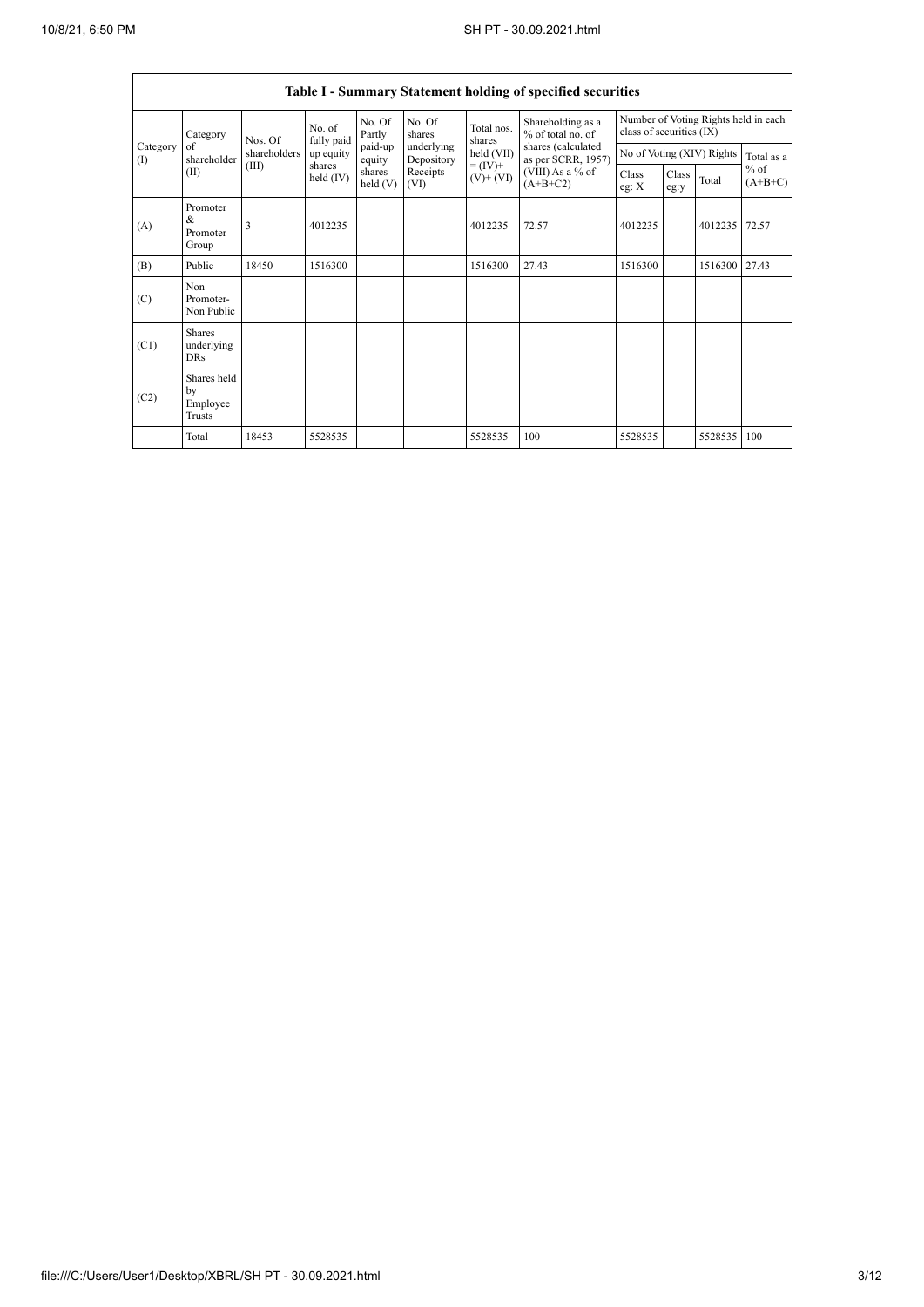r

|                                            |                                           |              |                       |                   |                          |                                             | Table I - Summary Statement holding of specified securities                                                          |                                                                  |               |         |                     |
|--------------------------------------------|-------------------------------------------|--------------|-----------------------|-------------------|--------------------------|---------------------------------------------|----------------------------------------------------------------------------------------------------------------------|------------------------------------------------------------------|---------------|---------|---------------------|
|                                            | Category<br>of<br>shareholder             | Nos. Of      | No. of<br>fully paid  | No. Of<br>Partly  | No. Of<br>shares         | Total nos.<br>shares                        | Shareholding as a<br>% of total no. of<br>shares (calculated<br>as per SCRR, 1957)<br>(VIII) As a % of<br>$(A+B+C2)$ | Number of Voting Rights held in each<br>class of securities (IX) |               |         |                     |
| Category<br>$\textcircled{\scriptsize{I}}$ |                                           | shareholders | up equity             | paid-up<br>equity | underlying<br>Depository | $held$ (VII)<br>$= (IV) +$<br>$(V)$ + $(V)$ |                                                                                                                      | No of Voting (XIV) Rights                                        |               |         | Total as a          |
|                                            | (II)                                      | (III)        | shares<br>held $(IV)$ | shares<br>held(V) | Receipts<br>(VI)         |                                             |                                                                                                                      | Class<br>eg: X                                                   | Class<br>eg:y | Total   | $%$ of<br>$(A+B+C)$ |
| (A)                                        | Promoter<br>&<br>Promoter<br>Group        | 3            | 4012235               |                   |                          | 4012235                                     | 72.57                                                                                                                | 4012235                                                          |               | 4012235 | 72.57               |
| (B)                                        | Public                                    | 18450        | 1516300               |                   |                          | 1516300                                     | 27.43                                                                                                                | 1516300                                                          |               | 1516300 | 27.43               |
| (C)                                        | Non.<br>Promoter-<br>Non Public           |              |                       |                   |                          |                                             |                                                                                                                      |                                                                  |               |         |                     |
| (C1)                                       | <b>Shares</b><br>underlying<br><b>DRs</b> |              |                       |                   |                          |                                             |                                                                                                                      |                                                                  |               |         |                     |
| (C2)                                       | Shares held<br>by<br>Employee<br>Trusts   |              |                       |                   |                          |                                             |                                                                                                                      |                                                                  |               |         |                     |
|                                            | Total                                     | 18453        | 5528535               |                   |                          | 5528535                                     | 100                                                                                                                  | 5528535                                                          |               | 5528535 | 100                 |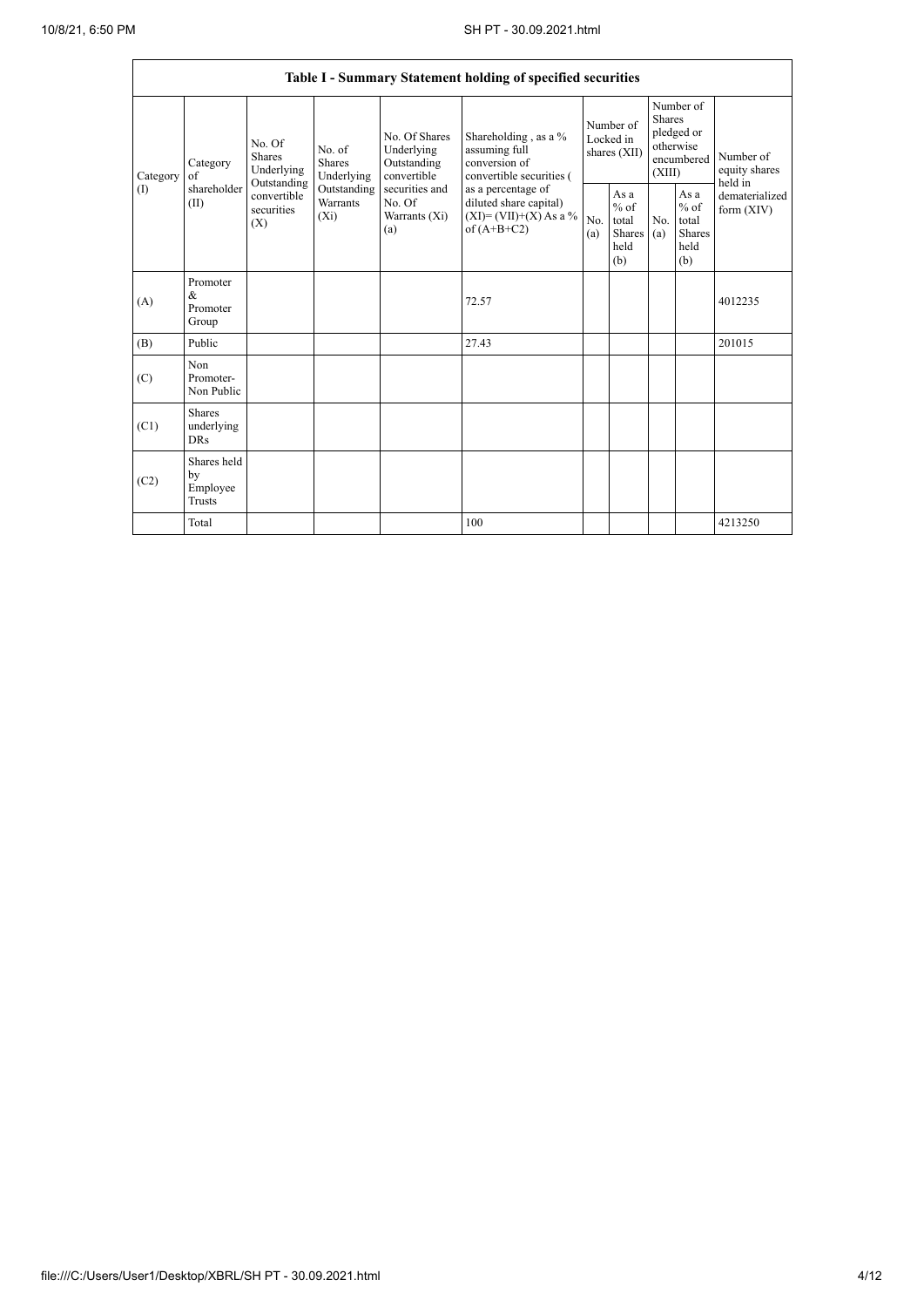|                 |                                                |                                                                                          |                                                                      |                                                                                                               | Table I - Summary Statement holding of specified securities                              |                                        |                                                  |                                                                               |                                                  |                                       |
|-----------------|------------------------------------------------|------------------------------------------------------------------------------------------|----------------------------------------------------------------------|---------------------------------------------------------------------------------------------------------------|------------------------------------------------------------------------------------------|----------------------------------------|--------------------------------------------------|-------------------------------------------------------------------------------|--------------------------------------------------|---------------------------------------|
| Category<br>(1) | Category<br>of<br>shareholder<br>(II)          | No. Of<br><b>Shares</b><br>Underlying<br>Outstanding<br>convertible<br>securities<br>(X) | No. of<br>Shares<br>Underlying<br>Outstanding<br>Warrants<br>$(X_i)$ | No. Of Shares<br>Underlying<br>Outstanding<br>convertible<br>securities and<br>No. Of<br>Warrants (Xi)<br>(a) | Shareholding , as a $\%$<br>assuming full<br>conversion of<br>convertible securities (   | Number of<br>Locked in<br>shares (XII) |                                                  | Number of<br><b>Shares</b><br>pledged or<br>otherwise<br>encumbered<br>(XIII) |                                                  | Number of<br>equity shares<br>held in |
|                 |                                                |                                                                                          |                                                                      |                                                                                                               | as a percentage of<br>diluted share capital)<br>$(XI)=(VII)+(X)$ As a %<br>of $(A+B+C2)$ | No.<br>(a)                             | As a<br>$%$ of<br>total<br>Shares<br>held<br>(b) | No.<br>(a)                                                                    | As a<br>$%$ of<br>total<br>Shares<br>held<br>(b) | dematerialized<br>form $(XIV)$        |
| (A)             | Promoter<br>&<br>Promoter<br>Group             |                                                                                          |                                                                      |                                                                                                               | 72.57                                                                                    |                                        |                                                  |                                                                               |                                                  | 4012235                               |
| (B)             | Public                                         |                                                                                          |                                                                      |                                                                                                               | 27.43                                                                                    |                                        |                                                  |                                                                               |                                                  | 201015                                |
| (C)             | Non<br>Promoter-<br>Non Public                 |                                                                                          |                                                                      |                                                                                                               |                                                                                          |                                        |                                                  |                                                                               |                                                  |                                       |
| (C1)            | <b>Shares</b><br>underlying<br><b>DRs</b>      |                                                                                          |                                                                      |                                                                                                               |                                                                                          |                                        |                                                  |                                                                               |                                                  |                                       |
| (C2)            | Shares held<br>by<br>Employee<br><b>Trusts</b> |                                                                                          |                                                                      |                                                                                                               |                                                                                          |                                        |                                                  |                                                                               |                                                  |                                       |
|                 | Total                                          |                                                                                          |                                                                      |                                                                                                               | 100                                                                                      |                                        |                                                  |                                                                               |                                                  | 4213250                               |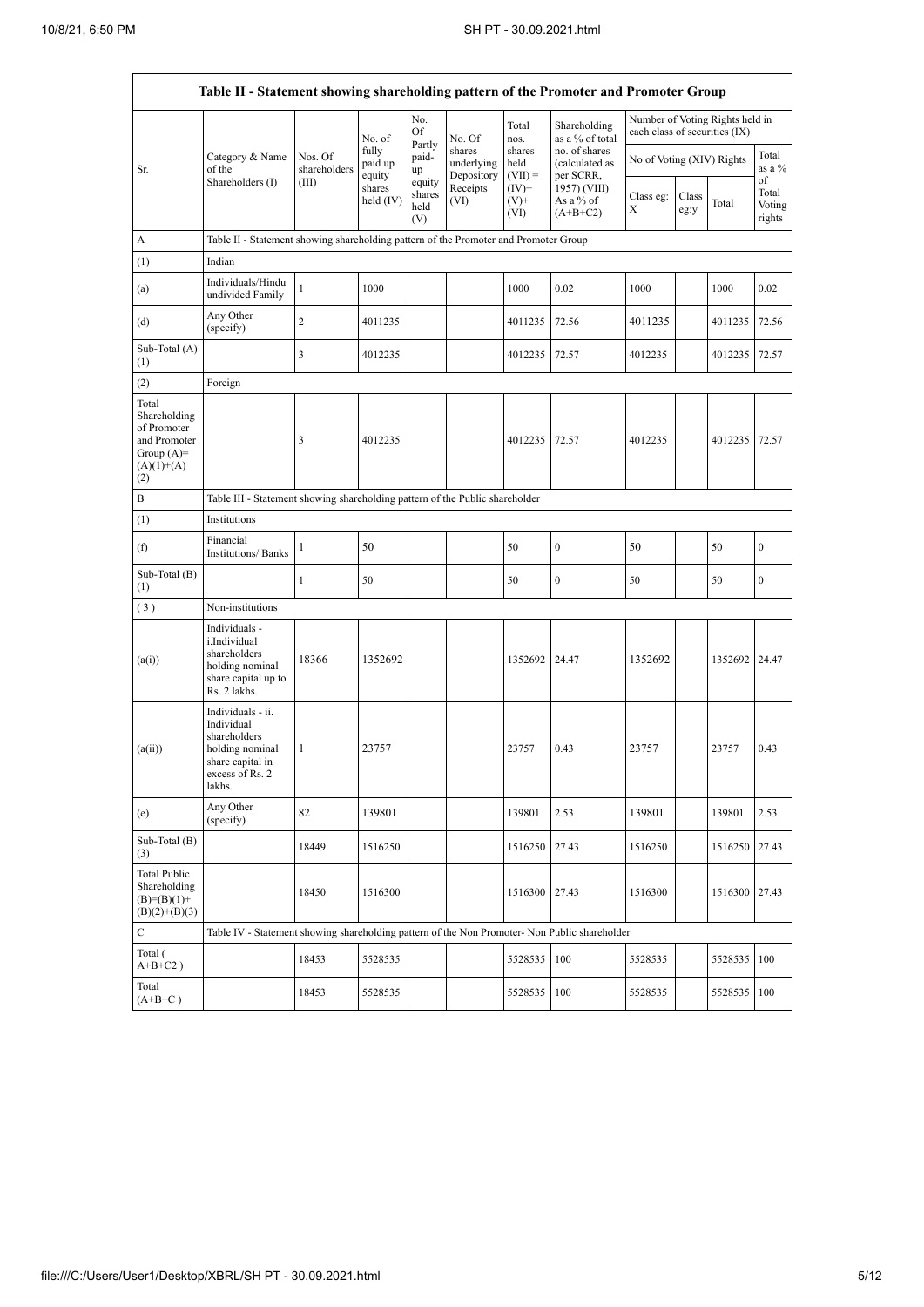|                                                                                             | Table II - Statement showing shareholding pattern of the Promoter and Promoter Group                                |                                                                              |                            |                                 |                                    |                             |                                              |                                                                  |               |               |                                 |  |  |
|---------------------------------------------------------------------------------------------|---------------------------------------------------------------------------------------------------------------------|------------------------------------------------------------------------------|----------------------------|---------------------------------|------------------------------------|-----------------------------|----------------------------------------------|------------------------------------------------------------------|---------------|---------------|---------------------------------|--|--|
|                                                                                             |                                                                                                                     |                                                                              | No. of                     | No.<br>Of                       | No. Of                             | Total<br>nos.               | Shareholding<br>as a % of total              | Number of Voting Rights held in<br>each class of securities (IX) |               |               |                                 |  |  |
| Sr.                                                                                         | Category & Name<br>of the                                                                                           | Nos. Of<br>shareholders                                                      | fully<br>paid up<br>equity | Partly<br>paid-<br>up           | shares<br>underlying<br>Depository | shares<br>held<br>$(VII) =$ | no. of shares<br>(calculated as<br>per SCRR, | No of Voting (XIV) Rights                                        |               |               | Total<br>as a %                 |  |  |
|                                                                                             | Shareholders (I)                                                                                                    | (III)                                                                        | shares<br>held (IV)        | equity<br>shares<br>held<br>(V) | Receipts<br>(VI)                   | $(IV)^+$<br>$(V)$ +<br>(VI) | 1957) (VIII)<br>As a % of<br>$(A+B+C2)$      | Class eg:<br>Χ                                                   | Class<br>eg:y | Total         | of<br>Total<br>Voting<br>rights |  |  |
| A                                                                                           | Table II - Statement showing shareholding pattern of the Promoter and Promoter Group                                |                                                                              |                            |                                 |                                    |                             |                                              |                                                                  |               |               |                                 |  |  |
| (1)                                                                                         | Indian                                                                                                              |                                                                              |                            |                                 |                                    |                             |                                              |                                                                  |               |               |                                 |  |  |
| (a)                                                                                         | Individuals/Hindu<br>undivided Family                                                                               | $\mathbf{1}$                                                                 | 1000                       |                                 |                                    | 1000                        | 0.02                                         | 1000                                                             |               | 1000          | 0.02                            |  |  |
| (d)                                                                                         | Any Other<br>(specify)                                                                                              | $\overline{c}$                                                               | 4011235                    |                                 |                                    | 4011235                     | 72.56                                        | 4011235                                                          |               | 4011235       | 72.56                           |  |  |
| Sub-Total (A)<br>(1)                                                                        |                                                                                                                     | 3                                                                            | 4012235                    |                                 |                                    | 4012235                     | 72.57                                        | 4012235                                                          |               | 4012235       | 72.57                           |  |  |
| (2)                                                                                         | Foreign                                                                                                             |                                                                              |                            |                                 |                                    |                             |                                              |                                                                  |               |               |                                 |  |  |
| Total<br>Shareholding<br>of Promoter<br>and Promoter<br>Group $(A)=$<br>$(A)(1)+(A)$<br>(2) |                                                                                                                     | 3                                                                            | 4012235                    |                                 |                                    | 4012235                     | 72.57                                        | 4012235                                                          |               | 4012235       | 72.57                           |  |  |
| B                                                                                           |                                                                                                                     | Table III - Statement showing shareholding pattern of the Public shareholder |                            |                                 |                                    |                             |                                              |                                                                  |               |               |                                 |  |  |
| (1)                                                                                         | Institutions                                                                                                        |                                                                              |                            |                                 |                                    |                             |                                              |                                                                  |               |               |                                 |  |  |
| (f)                                                                                         | Financial<br><b>Institutions/Banks</b>                                                                              | 1                                                                            | 50                         |                                 |                                    | 50                          | $\boldsymbol{0}$                             | 50                                                               |               | 50            | $\boldsymbol{0}$                |  |  |
| Sub-Total (B)<br>(1)                                                                        |                                                                                                                     | $\mathbf{1}$                                                                 | 50                         |                                 |                                    | 50                          | $\boldsymbol{0}$                             | 50                                                               |               | 50            | $\boldsymbol{0}$                |  |  |
| (3)                                                                                         | Non-institutions                                                                                                    |                                                                              |                            |                                 |                                    |                             |                                              |                                                                  |               |               |                                 |  |  |
| (a(i))                                                                                      | Individuals -<br>i.Individual<br>shareholders<br>holding nominal<br>share capital up to<br>Rs. 2 lakhs.             | 18366                                                                        | 1352692                    |                                 |                                    | 1352692                     | 24.47                                        | 1352692                                                          |               | 1352692 24.47 |                                 |  |  |
| (a(ii))                                                                                     | Individuals - ii.<br>Individual<br>shareholders<br>holding nominal<br>share capital in<br>excess of Rs. 2<br>lakhs. | 1                                                                            | 23757                      |                                 |                                    | 23757                       | 0.43                                         | 23757                                                            |               | 23757         | 0.43                            |  |  |
| (e)                                                                                         | Any Other<br>(specify)                                                                                              | 82                                                                           | 139801                     |                                 |                                    | 139801                      | 2.53                                         | 139801                                                           |               | 139801        | 2.53                            |  |  |
| Sub-Total (B)<br>(3)                                                                        |                                                                                                                     | 18449                                                                        | 1516250                    |                                 |                                    | 1516250                     | 27.43                                        | 1516250                                                          |               | 1516250       | 27.43                           |  |  |
| <b>Total Public</b><br>Shareholding<br>$(B)=(B)(1)+$<br>$(B)(2)+(B)(3)$                     |                                                                                                                     | 18450                                                                        | 1516300                    |                                 |                                    | 1516300                     | 27.43                                        | 1516300                                                          |               | 1516300       | 27.43                           |  |  |
| ${\bf C}$                                                                                   | Table IV - Statement showing shareholding pattern of the Non Promoter- Non Public shareholder                       |                                                                              |                            |                                 |                                    |                             |                                              |                                                                  |               |               |                                 |  |  |
| Total (<br>$A+B+C2$ )                                                                       |                                                                                                                     | 18453                                                                        | 5528535                    |                                 |                                    | 5528535                     | 100                                          | 5528535                                                          |               | 5528535       | 100                             |  |  |
| Total<br>$(A+B+C)$                                                                          |                                                                                                                     | 18453                                                                        | 5528535                    |                                 |                                    | 5528535                     | 100                                          | 5528535                                                          |               | 5528535       | 100                             |  |  |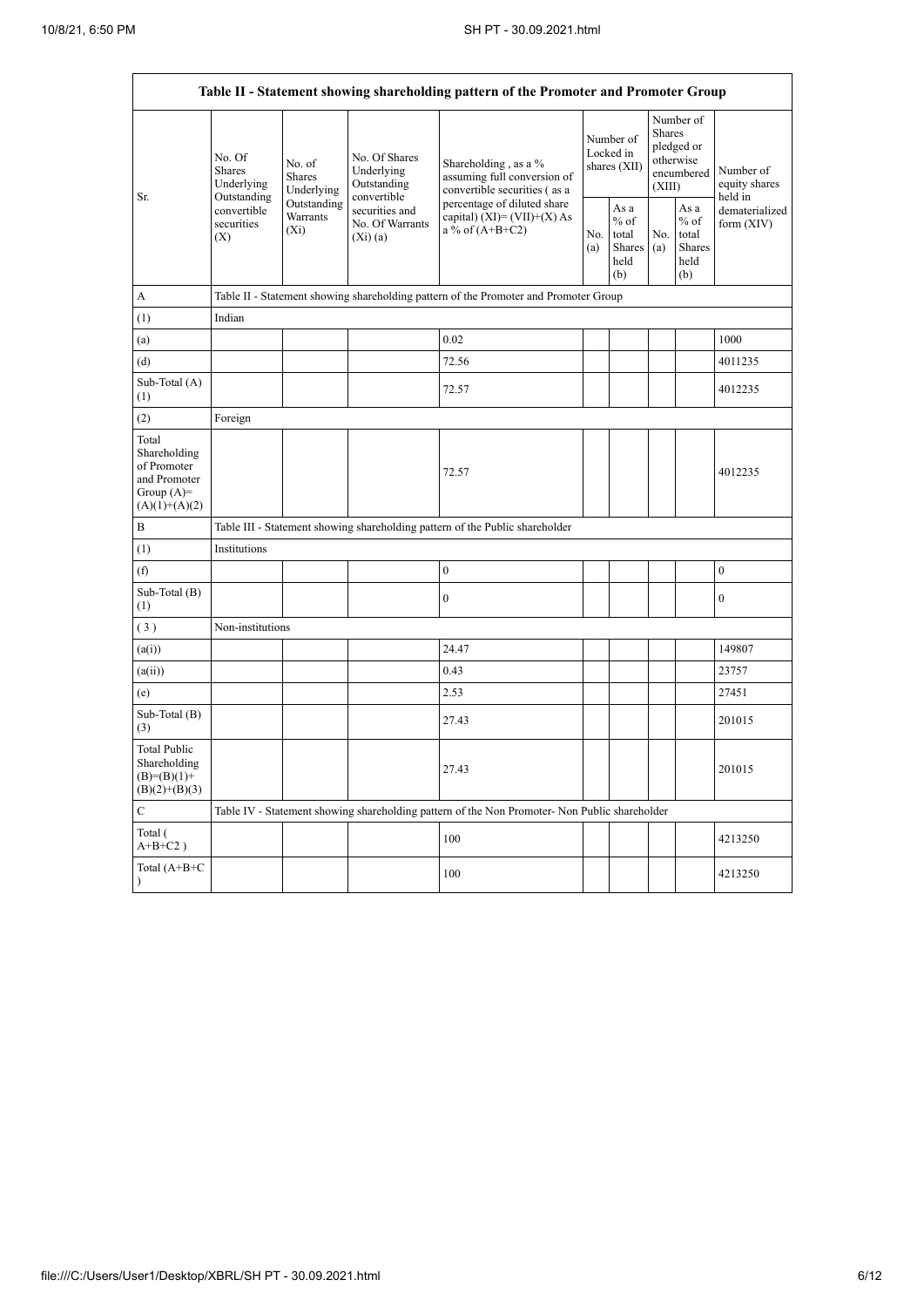$\mathbf{r}$ 

h

|                                                                                         |                                                 |                                    |                                                           | Table II - Statement showing shareholding pattern of the Promoter and Promoter Group          |            |                                                  |            |                                                                        |                                       |  |  |  |  |
|-----------------------------------------------------------------------------------------|-------------------------------------------------|------------------------------------|-----------------------------------------------------------|-----------------------------------------------------------------------------------------------|------------|--------------------------------------------------|------------|------------------------------------------------------------------------|---------------------------------------|--|--|--|--|
| Sr.                                                                                     | No. Of<br><b>Shares</b><br>Underlying           | No. of<br>Shares<br>Underlying     | No. Of Shares<br>Underlying<br>Outstanding<br>convertible | Shareholding, as a %<br>assuming full conversion of<br>convertible securities (as a           |            | Number of<br>Locked in<br>shares (XII)           |            | Number of<br>Shares<br>pledged or<br>otherwise<br>encumbered<br>(XIII) | Number of<br>equity shares<br>held in |  |  |  |  |
|                                                                                         | Outstanding<br>convertible<br>securities<br>(X) | Outstanding<br>Warrants<br>$(X_i)$ | securities and<br>No. Of Warrants<br>$(X_i)$ (a)          | percentage of diluted share<br>capital) $(XI) = (VII)+(X) As$<br>a % of $(A+B+C2)$            | No.<br>(a) | As a<br>$%$ of<br>total<br>Shares<br>held<br>(b) | No.<br>(a) | As a<br>$%$ of<br>total<br>Shares<br>held<br>(b)                       | dematerialized<br>form $(XIV)$        |  |  |  |  |
| А                                                                                       |                                                 |                                    |                                                           | Table II - Statement showing shareholding pattern of the Promoter and Promoter Group          |            |                                                  |            |                                                                        |                                       |  |  |  |  |
| (1)                                                                                     | Indian                                          |                                    |                                                           |                                                                                               |            |                                                  |            |                                                                        |                                       |  |  |  |  |
| (a)                                                                                     |                                                 |                                    |                                                           | 0.02                                                                                          |            |                                                  |            |                                                                        | 1000                                  |  |  |  |  |
| (d)                                                                                     |                                                 |                                    |                                                           | 72.56                                                                                         |            |                                                  |            |                                                                        | 4011235                               |  |  |  |  |
| Sub-Total (A)<br>(1)                                                                    |                                                 |                                    |                                                           | 72.57                                                                                         |            |                                                  |            |                                                                        | 4012235                               |  |  |  |  |
| (2)                                                                                     | Foreign                                         |                                    |                                                           |                                                                                               |            |                                                  |            |                                                                        |                                       |  |  |  |  |
| Total<br>Shareholding<br>of Promoter<br>and Promoter<br>Group $(A)=$<br>$(A)(1)+(A)(2)$ |                                                 |                                    |                                                           | 72.57                                                                                         |            |                                                  |            |                                                                        | 4012235                               |  |  |  |  |
| B                                                                                       |                                                 |                                    |                                                           | Table III - Statement showing shareholding pattern of the Public shareholder                  |            |                                                  |            |                                                                        |                                       |  |  |  |  |
| (1)                                                                                     | Institutions                                    |                                    |                                                           |                                                                                               |            |                                                  |            |                                                                        |                                       |  |  |  |  |
| (f)                                                                                     |                                                 |                                    |                                                           | $\mathbf{0}$                                                                                  |            |                                                  |            |                                                                        | $\mathbf{0}$                          |  |  |  |  |
| Sub-Total (B)<br>(1)                                                                    |                                                 |                                    |                                                           | $\mathbf{0}$                                                                                  |            |                                                  |            |                                                                        | $\boldsymbol{0}$                      |  |  |  |  |
| (3)                                                                                     | Non-institutions                                |                                    |                                                           |                                                                                               |            |                                                  |            |                                                                        |                                       |  |  |  |  |
| (a(i))                                                                                  |                                                 |                                    |                                                           | 24.47                                                                                         |            |                                                  |            |                                                                        | 149807                                |  |  |  |  |
| (a(ii))                                                                                 |                                                 |                                    |                                                           | 0.43                                                                                          |            |                                                  |            |                                                                        | 23757                                 |  |  |  |  |
| (e)                                                                                     |                                                 |                                    |                                                           | 2.53                                                                                          |            |                                                  |            |                                                                        | 27451                                 |  |  |  |  |
| Sub-Total (B)<br>(3)                                                                    |                                                 |                                    |                                                           | 27.43                                                                                         |            |                                                  |            |                                                                        | 201015                                |  |  |  |  |
| <b>Total Public</b><br>Shareholding<br>$(B)=(B)(1)+$<br>$(B)(2)+(B)(3)$                 |                                                 |                                    |                                                           | 27.43                                                                                         |            |                                                  |            |                                                                        | 201015                                |  |  |  |  |
| $\mathsf{C}$                                                                            |                                                 |                                    |                                                           | Table IV - Statement showing shareholding pattern of the Non Promoter- Non Public shareholder |            |                                                  |            |                                                                        |                                       |  |  |  |  |
| Total (<br>$A+B+C2$ )                                                                   |                                                 |                                    |                                                           | 100                                                                                           |            |                                                  |            |                                                                        | 4213250                               |  |  |  |  |
| Total (A+B+C<br>$\mathcal{E}$                                                           |                                                 |                                    |                                                           | 100                                                                                           |            |                                                  |            |                                                                        | 4213250                               |  |  |  |  |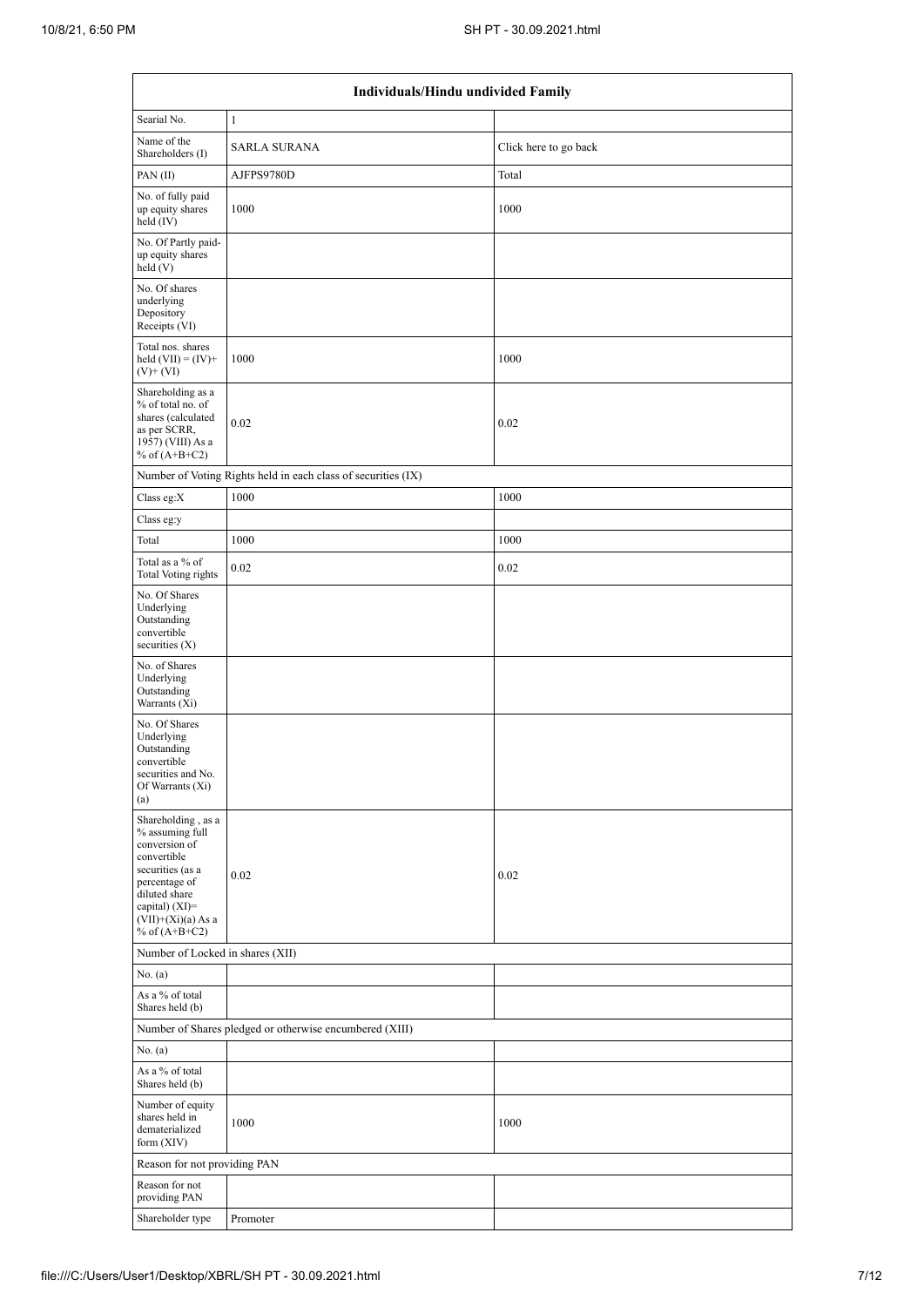|                                                                                                                                                                                           | Individuals/Hindu undivided Family                            |                       |
|-------------------------------------------------------------------------------------------------------------------------------------------------------------------------------------------|---------------------------------------------------------------|-----------------------|
| Searial No.                                                                                                                                                                               | $\mathbf{1}$                                                  |                       |
| Name of the<br>Shareholders (I)                                                                                                                                                           | <b>SARLA SURANA</b>                                           | Click here to go back |
| PAN $(II)$                                                                                                                                                                                | AJFPS9780D                                                    | Total                 |
| No. of fully paid<br>up equity shares<br>held $(IV)$                                                                                                                                      | 1000                                                          | 1000                  |
| No. Of Partly paid-<br>up equity shares<br>held $(V)$                                                                                                                                     |                                                               |                       |
| No. Of shares<br>underlying<br>Depository<br>Receipts (VI)                                                                                                                                |                                                               |                       |
| Total nos. shares<br>held $(VII) = (IV) +$<br>$(V)+(VI)$                                                                                                                                  | 1000                                                          | 1000                  |
| Shareholding as a<br>% of total no. of<br>shares (calculated<br>as per SCRR,<br>1957) (VIII) As a<br>% of $(A+B+C2)$                                                                      | 0.02                                                          | 0.02                  |
|                                                                                                                                                                                           | Number of Voting Rights held in each class of securities (IX) |                       |
| Class eg: $X$                                                                                                                                                                             | 1000                                                          | 1000                  |
| Class eg:y                                                                                                                                                                                |                                                               |                       |
| Total                                                                                                                                                                                     | 1000                                                          | 1000                  |
| Total as a % of<br><b>Total Voting rights</b>                                                                                                                                             | 0.02                                                          | 0.02                  |
| No. Of Shares<br>Underlying<br>Outstanding<br>convertible<br>securities $(X)$                                                                                                             |                                                               |                       |
| No. of Shares<br>Underlying<br>Outstanding<br>Warrants (Xi)                                                                                                                               |                                                               |                       |
| No. Of Shares<br>Underlying<br>Outstanding<br>convertible<br>securities and No.<br>Of Warrants (Xi)<br>(a)                                                                                |                                                               |                       |
| Shareholding , as a<br>% assuming full<br>conversion of<br>convertible<br>securities (as a<br>percentage of<br>diluted share<br>capital) (XI)=<br>$(VII)+(Xi)(a)$ As a<br>% of $(A+B+C2)$ | 0.02                                                          | 0.02                  |
| Number of Locked in shares (XII)                                                                                                                                                          |                                                               |                       |
| No. (a)                                                                                                                                                                                   |                                                               |                       |
| As a % of total<br>Shares held (b)                                                                                                                                                        |                                                               |                       |
|                                                                                                                                                                                           | Number of Shares pledged or otherwise encumbered (XIII)       |                       |
| No. (a)                                                                                                                                                                                   |                                                               |                       |
| As a % of total<br>Shares held (b)                                                                                                                                                        |                                                               |                       |
| Number of equity<br>shares held in<br>dematerialized<br>form $(XIV)$                                                                                                                      | 1000                                                          | 1000                  |
| Reason for not providing PAN                                                                                                                                                              |                                                               |                       |
| Reason for not<br>providing PAN                                                                                                                                                           |                                                               |                       |
| Shareholder type                                                                                                                                                                          | Promoter                                                      |                       |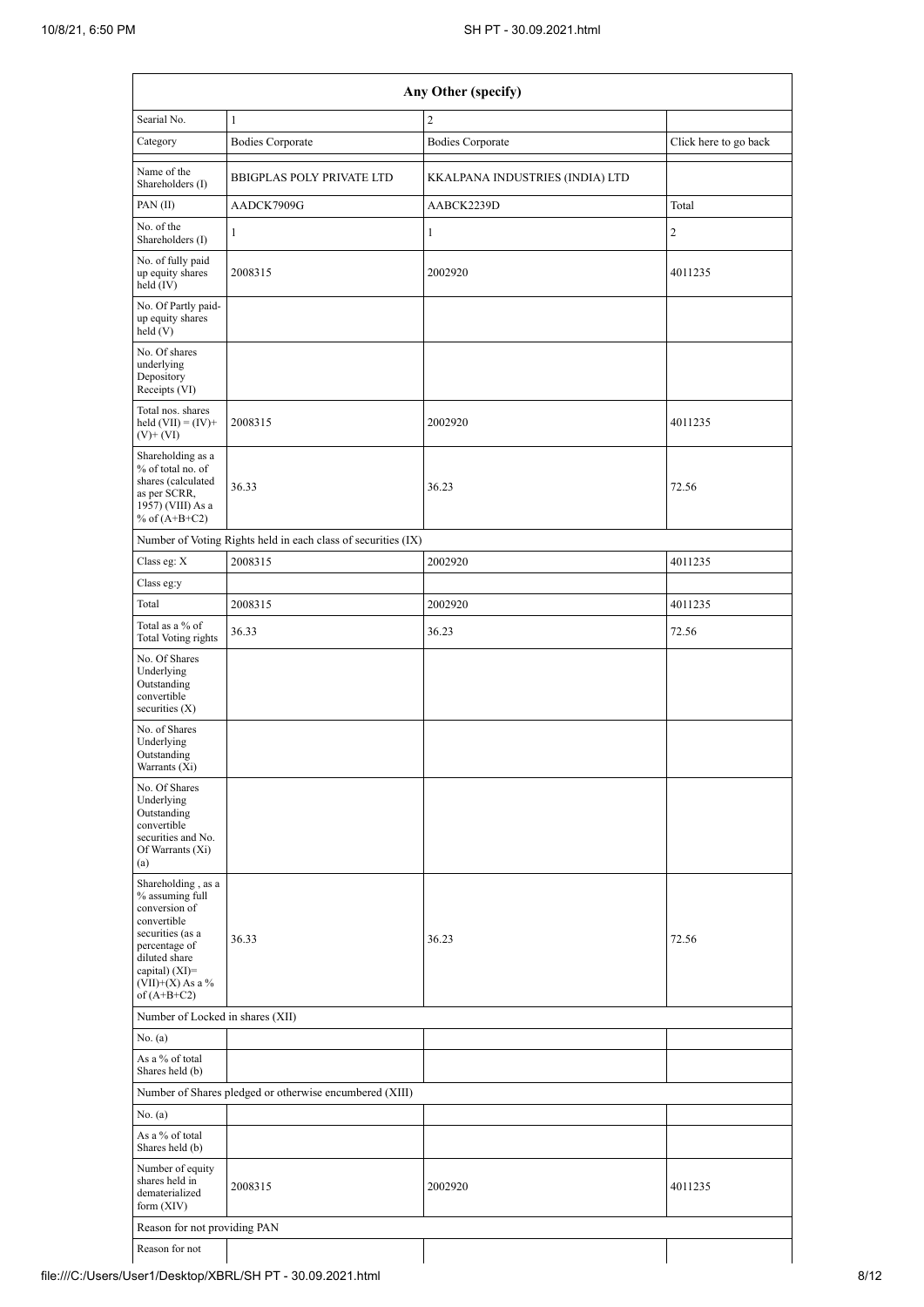|                                                                                                                                                                                        |                                                               | Any Other (specify)             |                       |  |  |  |  |  |  |
|----------------------------------------------------------------------------------------------------------------------------------------------------------------------------------------|---------------------------------------------------------------|---------------------------------|-----------------------|--|--|--|--|--|--|
| Searial No.                                                                                                                                                                            | $\mathbf{1}$                                                  | $\overline{c}$                  |                       |  |  |  |  |  |  |
| Category                                                                                                                                                                               | <b>Bodies Corporate</b>                                       | <b>Bodies Corporate</b>         | Click here to go back |  |  |  |  |  |  |
| Name of the<br>Shareholders (I)                                                                                                                                                        | <b>BBIGPLAS POLY PRIVATE LTD</b>                              | KKALPANA INDUSTRIES (INDIA) LTD |                       |  |  |  |  |  |  |
| PAN(II)                                                                                                                                                                                | AADCK7909G                                                    | AABCK2239D                      | Total                 |  |  |  |  |  |  |
| No. of the<br>Shareholders (I)                                                                                                                                                         | $\mathbf{1}$                                                  | $\mathbf{1}$                    | $\overline{c}$        |  |  |  |  |  |  |
| No. of fully paid<br>up equity shares<br>held (IV)                                                                                                                                     | 2008315                                                       | 2002920                         | 4011235               |  |  |  |  |  |  |
| No. Of Partly paid-<br>up equity shares<br>held(V)                                                                                                                                     |                                                               |                                 |                       |  |  |  |  |  |  |
| No. Of shares<br>underlying<br>Depository<br>Receipts (VI)                                                                                                                             |                                                               |                                 |                       |  |  |  |  |  |  |
| Total nos. shares<br>held $(VII) = (IV) +$<br>$(V)$ + $(VI)$                                                                                                                           | 2008315                                                       | 2002920                         | 4011235               |  |  |  |  |  |  |
| Shareholding as a<br>% of total no. of<br>shares (calculated<br>as per SCRR,<br>1957) (VIII) As a<br>% of $(A+B+C2)$                                                                   | 36.33                                                         | 36.23                           | 72.56                 |  |  |  |  |  |  |
|                                                                                                                                                                                        | Number of Voting Rights held in each class of securities (IX) |                                 |                       |  |  |  |  |  |  |
| Class eg: X                                                                                                                                                                            | 2008315                                                       | 2002920                         | 4011235               |  |  |  |  |  |  |
| Class eg:y                                                                                                                                                                             |                                                               |                                 |                       |  |  |  |  |  |  |
| Total                                                                                                                                                                                  | 2008315                                                       | 2002920                         | 4011235               |  |  |  |  |  |  |
| Total as a % of<br><b>Total Voting rights</b>                                                                                                                                          | 36.33                                                         | 36.23                           | 72.56                 |  |  |  |  |  |  |
| No. Of Shares<br>Underlying<br>Outstanding<br>convertible<br>securities $(X)$                                                                                                          |                                                               |                                 |                       |  |  |  |  |  |  |
| No. of Shares<br>Underlying<br>Outstanding<br>Warrants (Xi)                                                                                                                            |                                                               |                                 |                       |  |  |  |  |  |  |
| No. Of Shares<br>Underlying<br>Outstanding<br>convertible<br>securities and No.<br>Of Warrants (Xi)<br>(a)                                                                             |                                                               |                                 |                       |  |  |  |  |  |  |
| Shareholding, as a<br>% assuming full<br>conversion of<br>convertible<br>securities (as a<br>percentage of<br>diluted share<br>capital) $(XI)=$<br>$(VII)+(X)$ As a %<br>of $(A+B+C2)$ | 36.33                                                         | 36.23                           | 72.56                 |  |  |  |  |  |  |
| Number of Locked in shares (XII)                                                                                                                                                       |                                                               |                                 |                       |  |  |  |  |  |  |
| No. (a)                                                                                                                                                                                |                                                               |                                 |                       |  |  |  |  |  |  |
| As a % of total<br>Shares held (b)                                                                                                                                                     |                                                               |                                 |                       |  |  |  |  |  |  |
| Number of Shares pledged or otherwise encumbered (XIII)                                                                                                                                |                                                               |                                 |                       |  |  |  |  |  |  |
| No. (a)                                                                                                                                                                                |                                                               |                                 |                       |  |  |  |  |  |  |
| As a % of total<br>Shares held (b)                                                                                                                                                     |                                                               |                                 |                       |  |  |  |  |  |  |
| Number of equity<br>shares held in<br>dematerialized<br>form $(XIV)$                                                                                                                   | 2008315                                                       | 2002920                         | 4011235               |  |  |  |  |  |  |
| Reason for not providing PAN                                                                                                                                                           |                                                               |                                 |                       |  |  |  |  |  |  |
| Reason for not                                                                                                                                                                         |                                                               |                                 |                       |  |  |  |  |  |  |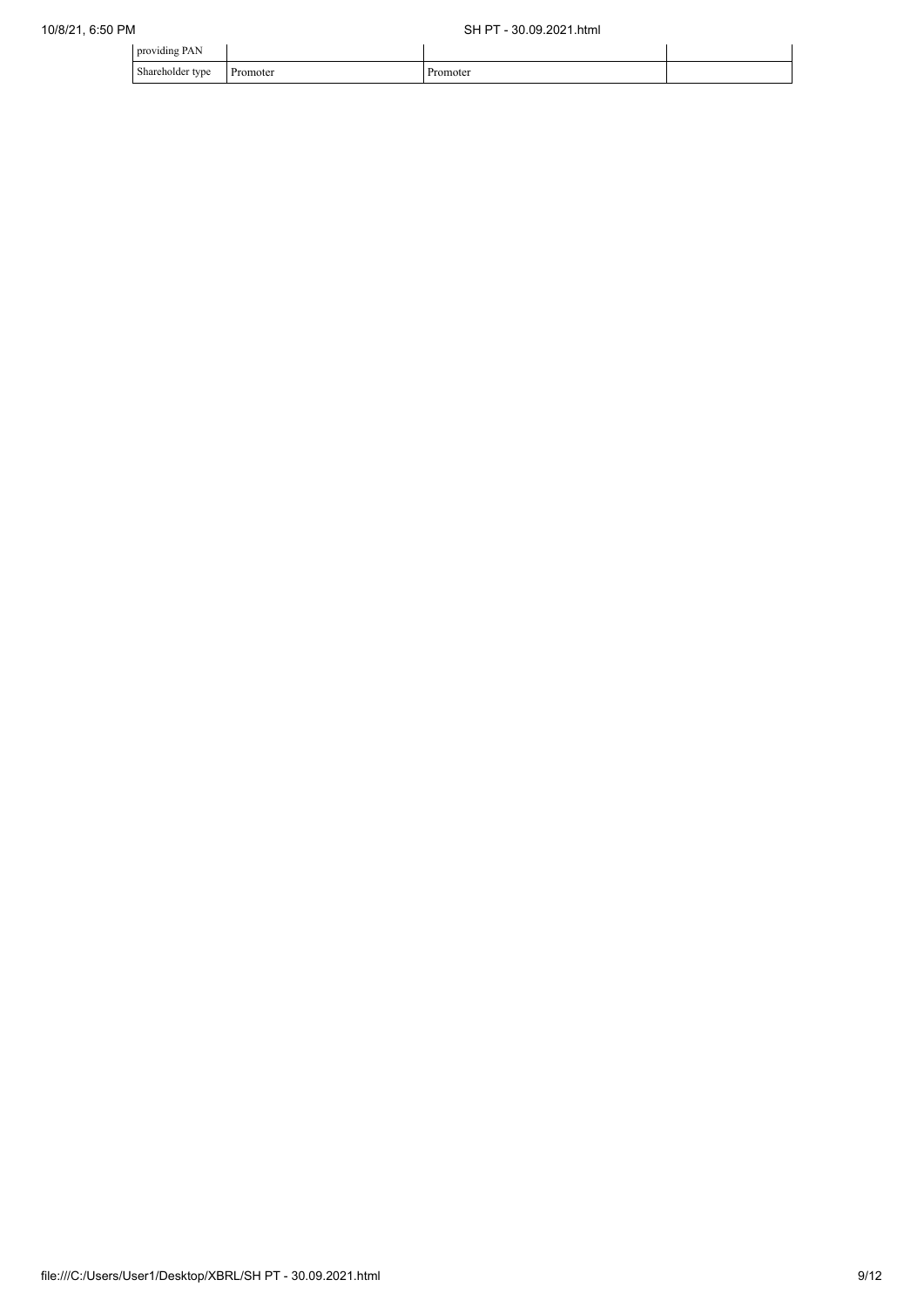| PAN<br>providing             |          |        |  |
|------------------------------|----------|--------|--|
| Shareholder type<br>$\sim$ 1 | Promoter | omoter |  |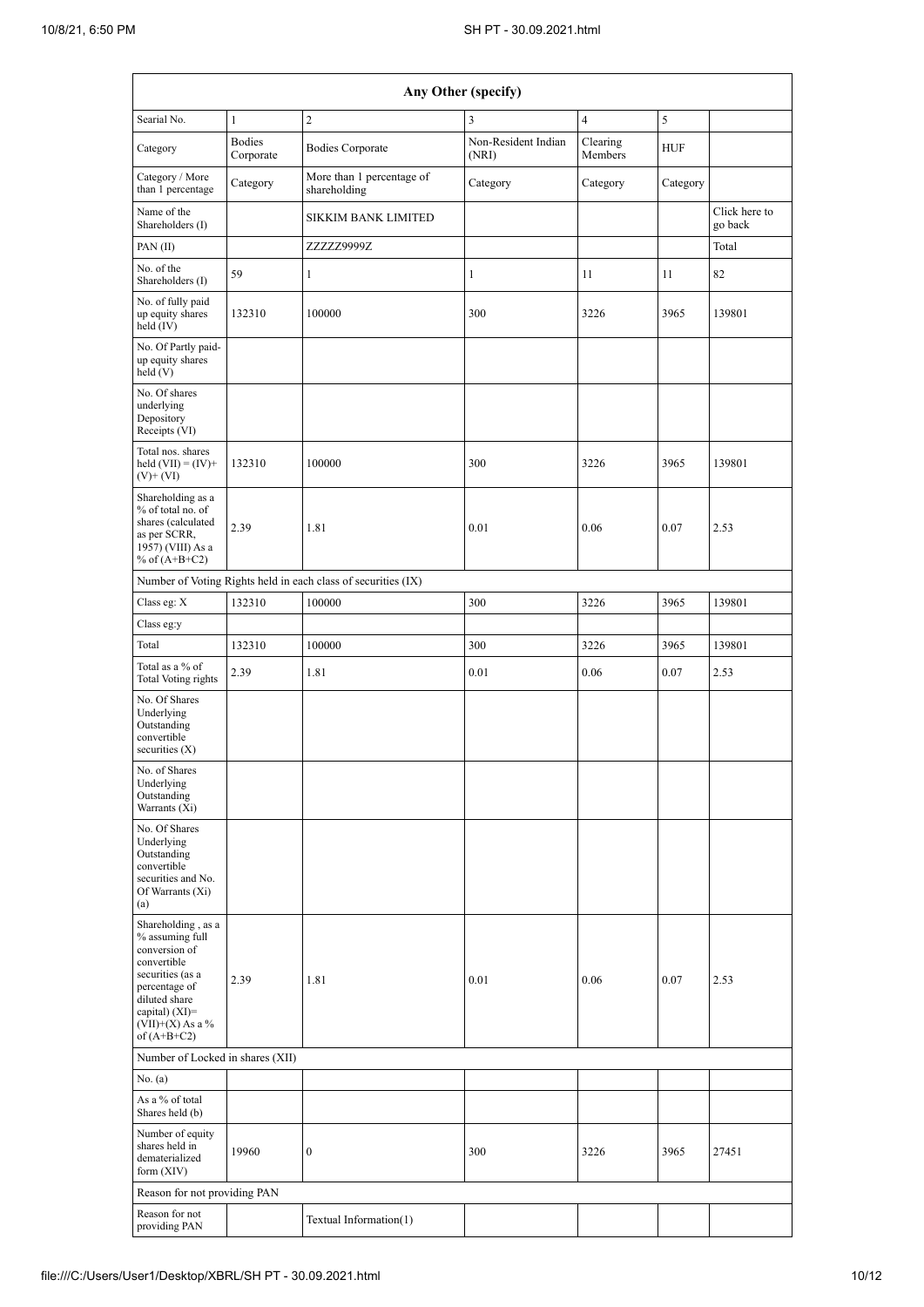| Any Other (specify)                                                                                                                                                                    |                            |                                                               |                              |                     |            |                          |  |  |  |  |  |
|----------------------------------------------------------------------------------------------------------------------------------------------------------------------------------------|----------------------------|---------------------------------------------------------------|------------------------------|---------------------|------------|--------------------------|--|--|--|--|--|
| Searial No.                                                                                                                                                                            | $\mathbf{1}$               | $\overline{c}$                                                | 3                            | $\overline{4}$      | 5          |                          |  |  |  |  |  |
| Category                                                                                                                                                                               | <b>Bodies</b><br>Corporate | <b>Bodies Corporate</b>                                       | Non-Resident Indian<br>(NRI) | Clearing<br>Members | <b>HUF</b> |                          |  |  |  |  |  |
| Category / More<br>than 1 percentage                                                                                                                                                   | Category                   | More than 1 percentage of<br>shareholding                     | Category                     | Category            | Category   |                          |  |  |  |  |  |
| Name of the<br>Shareholders (I)                                                                                                                                                        |                            | SIKKIM BANK LIMITED                                           |                              |                     |            | Click here to<br>go back |  |  |  |  |  |
| PAN $(II)$                                                                                                                                                                             |                            | ZZZZZ9999Z                                                    |                              |                     |            | Total                    |  |  |  |  |  |
| No. of the<br>Shareholders (I)                                                                                                                                                         | 59                         | $\mathbf{1}$                                                  | $\mathbf{1}$                 | 11                  | 11         | 82                       |  |  |  |  |  |
| No. of fully paid<br>up equity shares<br>held $(IV)$                                                                                                                                   | 132310                     | 100000                                                        | 300                          | 3226<br>3965        |            | 139801                   |  |  |  |  |  |
| No. Of Partly paid-<br>up equity shares<br>held (V)                                                                                                                                    |                            |                                                               |                              |                     |            |                          |  |  |  |  |  |
| No. Of shares<br>underlying<br>Depository<br>Receipts (VI)                                                                                                                             |                            |                                                               |                              |                     |            |                          |  |  |  |  |  |
| Total nos. shares<br>held $(VII) = (IV) +$<br>$(V)$ + $(VI)$                                                                                                                           | 132310                     | 100000                                                        | 300                          | 3226                | 3965       | 139801                   |  |  |  |  |  |
| Shareholding as a<br>% of total no. of<br>shares (calculated<br>as per SCRR,<br>1957) (VIII) As a<br>% of $(A+B+C2)$                                                                   | 2.39                       | 1.81                                                          | 0.01                         | 0.06                | 0.07       | 2.53                     |  |  |  |  |  |
|                                                                                                                                                                                        |                            | Number of Voting Rights held in each class of securities (IX) |                              |                     |            |                          |  |  |  |  |  |
| Class eg: $\mathbf X$                                                                                                                                                                  | 132310                     | 100000                                                        | 300                          | 3226                | 3965       | 139801                   |  |  |  |  |  |
| Class eg:y                                                                                                                                                                             |                            |                                                               |                              |                     |            |                          |  |  |  |  |  |
| Total                                                                                                                                                                                  | 132310                     | 100000                                                        | 300                          | 3226                | 3965       | 139801                   |  |  |  |  |  |
| Total as a % of<br>Total Voting rights                                                                                                                                                 | 2.39                       | 1.81                                                          | 0.01                         | 0.06                | 0.07       | 2.53                     |  |  |  |  |  |
| No. Of Shares<br>Underlying<br>Outstanding<br>convertible<br>securities $(X)$                                                                                                          |                            |                                                               |                              |                     |            |                          |  |  |  |  |  |
| No. of Shares<br>Underlying<br>Outstanding<br>Warrants (Xi)                                                                                                                            |                            |                                                               |                              |                     |            |                          |  |  |  |  |  |
| No. Of Shares<br>Underlying<br>Outstanding<br>convertible<br>securities and No.<br>Of Warrants (Xi)<br>(a)                                                                             |                            |                                                               |                              |                     |            |                          |  |  |  |  |  |
| Shareholding, as a<br>% assuming full<br>conversion of<br>convertible<br>securities (as a<br>percentage of<br>diluted share<br>capital) $(XI)=$<br>$(VII)+(X)$ As a %<br>of $(A+B+C2)$ | 2.39                       | 1.81                                                          | 0.01                         | 0.06                | 0.07       | 2.53                     |  |  |  |  |  |
| Number of Locked in shares (XII)                                                                                                                                                       |                            |                                                               |                              |                     |            |                          |  |  |  |  |  |
| No. (a)                                                                                                                                                                                |                            |                                                               |                              |                     |            |                          |  |  |  |  |  |
| As a % of total<br>Shares held (b)                                                                                                                                                     |                            |                                                               |                              |                     |            |                          |  |  |  |  |  |
| Number of equity<br>shares held in<br>dematerialized<br>form $(XIV)$                                                                                                                   | 19960                      | 0                                                             | 300                          | 3226                | 3965       | 27451                    |  |  |  |  |  |
| Reason for not providing PAN                                                                                                                                                           |                            |                                                               |                              |                     |            |                          |  |  |  |  |  |
| Reason for not<br>providing PAN                                                                                                                                                        |                            | Textual Information(1)                                        |                              |                     |            |                          |  |  |  |  |  |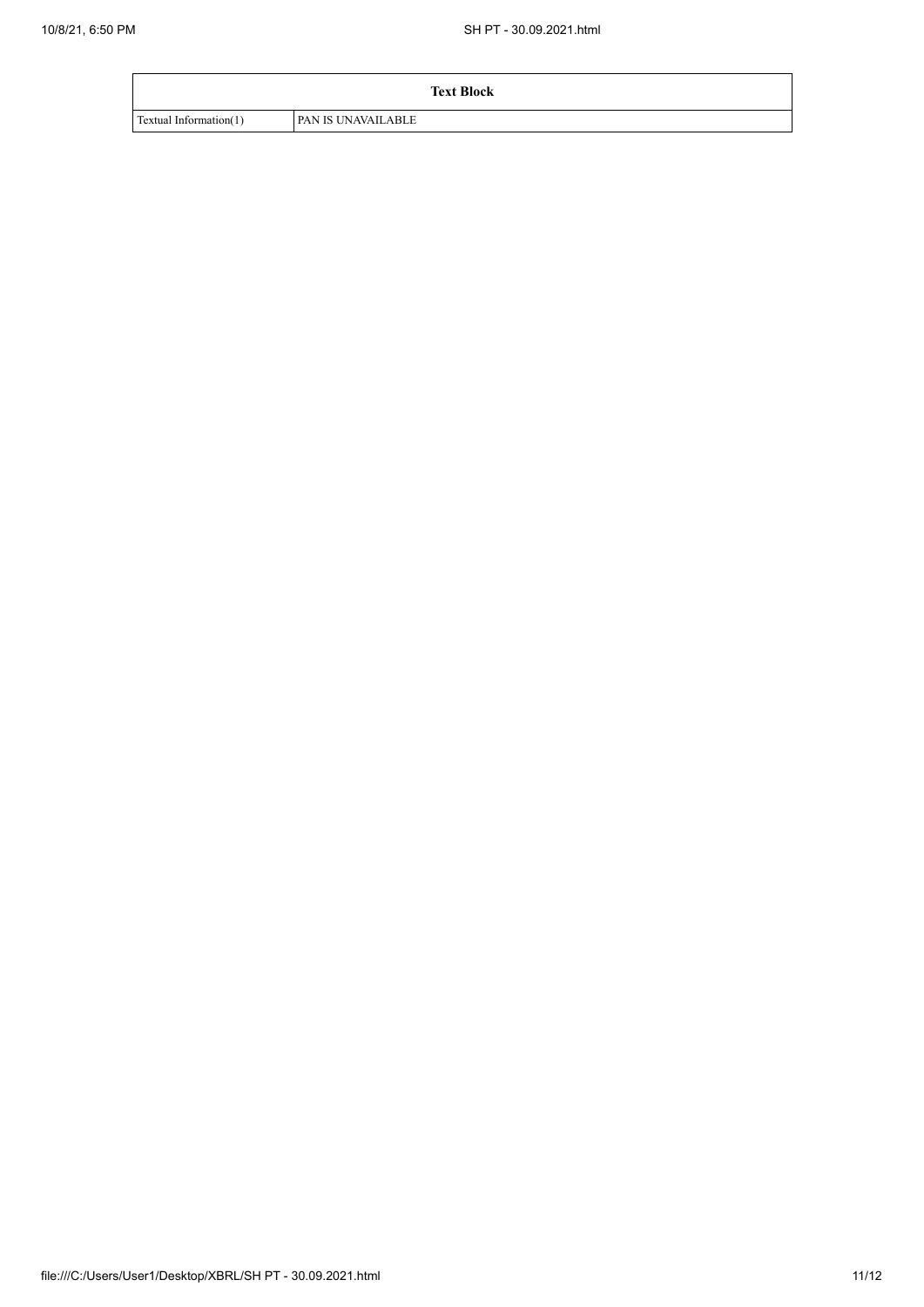|                        | <b>Text Block</b>         |
|------------------------|---------------------------|
| Textual Information(1) | <b>PAN IS UNAVAILABLE</b> |